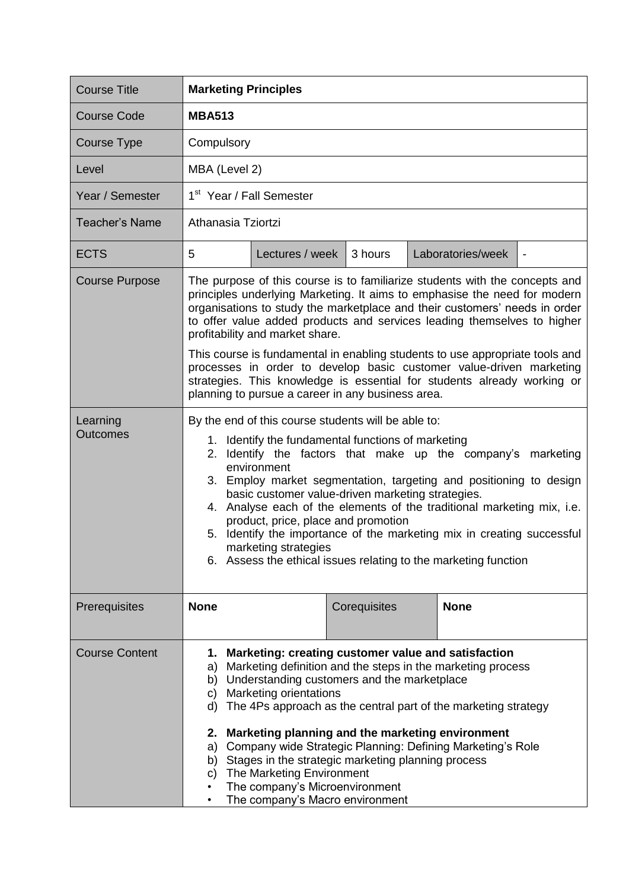| <b>Course Title</b>         | <b>Marketing Principles</b>                                                                                                                                                                                                                                                                                                                                                                                                                                                                                                                                                                                                                 |  |  |  |  |
|-----------------------------|---------------------------------------------------------------------------------------------------------------------------------------------------------------------------------------------------------------------------------------------------------------------------------------------------------------------------------------------------------------------------------------------------------------------------------------------------------------------------------------------------------------------------------------------------------------------------------------------------------------------------------------------|--|--|--|--|
| <b>Course Code</b>          | <b>MBA513</b>                                                                                                                                                                                                                                                                                                                                                                                                                                                                                                                                                                                                                               |  |  |  |  |
| Course Type                 | Compulsory                                                                                                                                                                                                                                                                                                                                                                                                                                                                                                                                                                                                                                  |  |  |  |  |
| Level                       | MBA (Level 2)                                                                                                                                                                                                                                                                                                                                                                                                                                                                                                                                                                                                                               |  |  |  |  |
| Year / Semester             | 1 <sup>st</sup> Year / Fall Semester                                                                                                                                                                                                                                                                                                                                                                                                                                                                                                                                                                                                        |  |  |  |  |
| Teacher's Name              | Athanasia Tziortzi                                                                                                                                                                                                                                                                                                                                                                                                                                                                                                                                                                                                                          |  |  |  |  |
| <b>ECTS</b>                 | 5<br>Lectures / week<br>Laboratories/week<br>3 hours                                                                                                                                                                                                                                                                                                                                                                                                                                                                                                                                                                                        |  |  |  |  |
| <b>Course Purpose</b>       | The purpose of this course is to familiarize students with the concepts and<br>principles underlying Marketing. It aims to emphasise the need for modern<br>organisations to study the marketplace and their customers' needs in order<br>to offer value added products and services leading themselves to higher<br>profitability and market share.<br>This course is fundamental in enabling students to use appropriate tools and<br>processes in order to develop basic customer value-driven marketing<br>strategies. This knowledge is essential for students already working or<br>planning to pursue a career in any business area. |  |  |  |  |
| Learning<br><b>Outcomes</b> | By the end of this course students will be able to:<br>1. Identify the fundamental functions of marketing<br>2. Identify the factors that make up the company's marketing<br>environment<br>3. Employ market segmentation, targeting and positioning to design<br>basic customer value-driven marketing strategies.<br>4. Analyse each of the elements of the traditional marketing mix, i.e.<br>product, price, place and promotion<br>5. Identify the importance of the marketing mix in creating successful<br>marketing strategies<br>6. Assess the ethical issues relating to the marketing function                                   |  |  |  |  |
| Prerequisites               | <b>None</b><br>Corequisites<br><b>None</b>                                                                                                                                                                                                                                                                                                                                                                                                                                                                                                                                                                                                  |  |  |  |  |
| <b>Course Content</b>       | Marketing: creating customer value and satisfaction<br>1.<br>Marketing definition and the steps in the marketing process<br>a)<br>Understanding customers and the marketplace<br>b)<br>Marketing orientations<br>C)<br>The 4Ps approach as the central part of the marketing strategy<br>d)<br>Marketing planning and the marketing environment<br>2.<br>Company wide Strategic Planning: Defining Marketing's Role<br>a)<br>Stages in the strategic marketing planning process<br>b)<br>The Marketing Environment<br>C)<br>The company's Microenvironment<br>The company's Macro environment                                               |  |  |  |  |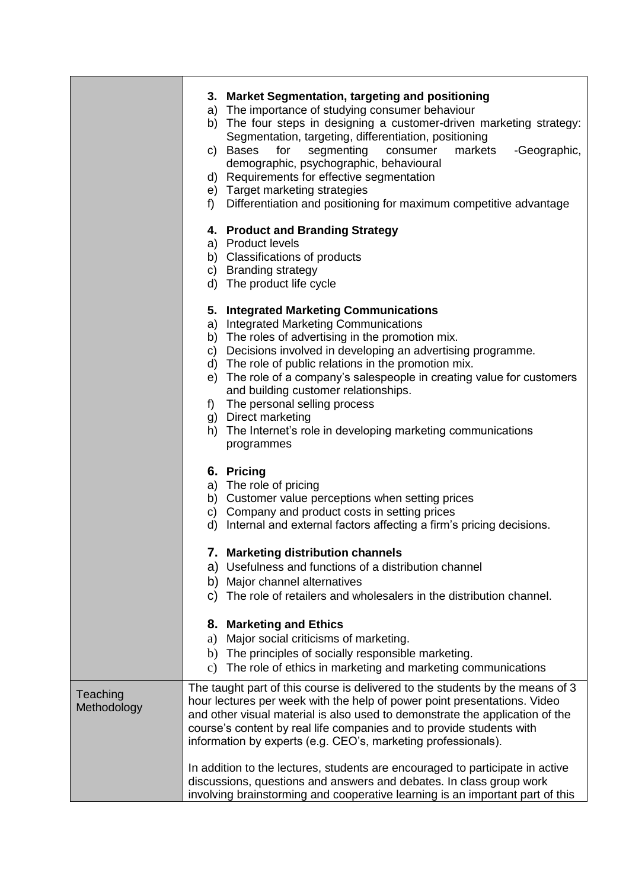|             |                                                                               | 3. Market Segmentation, targeting and positioning                             |  |  |  |  |
|-------------|-------------------------------------------------------------------------------|-------------------------------------------------------------------------------|--|--|--|--|
|             |                                                                               | a) The importance of studying consumer behaviour                              |  |  |  |  |
|             |                                                                               | b) The four steps in designing a customer-driven marketing strategy:          |  |  |  |  |
|             |                                                                               | Segmentation, targeting, differentiation, positioning                         |  |  |  |  |
|             |                                                                               | segmenting<br>c) Bases<br>for<br>markets<br>-Geographic,<br>consumer          |  |  |  |  |
|             |                                                                               | demographic, psychographic, behavioural                                       |  |  |  |  |
|             |                                                                               | d) Requirements for effective segmentation                                    |  |  |  |  |
|             |                                                                               | e) Target marketing strategies                                                |  |  |  |  |
|             | f)                                                                            | Differentiation and positioning for maximum competitive advantage             |  |  |  |  |
|             |                                                                               | 4. Product and Branding Strategy                                              |  |  |  |  |
|             |                                                                               | a) Product levels                                                             |  |  |  |  |
|             |                                                                               | b) Classifications of products                                                |  |  |  |  |
|             |                                                                               | c) Branding strategy                                                          |  |  |  |  |
|             |                                                                               | d) The product life cycle                                                     |  |  |  |  |
|             |                                                                               | 5. Integrated Marketing Communications                                        |  |  |  |  |
|             |                                                                               | a) Integrated Marketing Communications                                        |  |  |  |  |
|             |                                                                               | b) The roles of advertising in the promotion mix.                             |  |  |  |  |
|             |                                                                               | c) Decisions involved in developing an advertising programme.                 |  |  |  |  |
|             |                                                                               | d) The role of public relations in the promotion mix.                         |  |  |  |  |
|             |                                                                               | e) The role of a company's salespeople in creating value for customers        |  |  |  |  |
|             |                                                                               | and building customer relationships.                                          |  |  |  |  |
|             | f)                                                                            | The personal selling process                                                  |  |  |  |  |
|             |                                                                               | g) Direct marketing                                                           |  |  |  |  |
|             |                                                                               | h) The Internet's role in developing marketing communications                 |  |  |  |  |
|             |                                                                               | programmes                                                                    |  |  |  |  |
|             |                                                                               |                                                                               |  |  |  |  |
|             |                                                                               | 6. Pricing                                                                    |  |  |  |  |
|             |                                                                               | a) The role of pricing                                                        |  |  |  |  |
|             |                                                                               | b) Customer value perceptions when setting prices                             |  |  |  |  |
|             |                                                                               | c) Company and product costs in setting prices                                |  |  |  |  |
|             | d)                                                                            | Internal and external factors affecting a firm's pricing decisions.           |  |  |  |  |
|             |                                                                               | 7. Marketing distribution channels                                            |  |  |  |  |
|             |                                                                               | a) Usefulness and functions of a distribution channel                         |  |  |  |  |
|             |                                                                               | b) Major channel alternatives                                                 |  |  |  |  |
|             | $\mathsf{C}$                                                                  | The role of retailers and wholesalers in the distribution channel.            |  |  |  |  |
|             |                                                                               | 8. Marketing and Ethics                                                       |  |  |  |  |
|             | a)                                                                            | Major social criticisms of marketing.                                         |  |  |  |  |
|             |                                                                               |                                                                               |  |  |  |  |
|             | b)                                                                            | The principles of socially responsible marketing.                             |  |  |  |  |
|             | $\mathbf{c}$ )                                                                | The role of ethics in marketing and marketing communications                  |  |  |  |  |
|             |                                                                               | The taught part of this course is delivered to the students by the means of 3 |  |  |  |  |
| Teaching    |                                                                               | hour lectures per week with the help of power point presentations. Video      |  |  |  |  |
| Methodology |                                                                               | and other visual material is also used to demonstrate the application of the  |  |  |  |  |
|             | course's content by real life companies and to provide students with          |                                                                               |  |  |  |  |
|             |                                                                               | information by experts (e.g. CEO's, marketing professionals).                 |  |  |  |  |
|             |                                                                               |                                                                               |  |  |  |  |
|             |                                                                               | In addition to the lectures, students are encouraged to participate in active |  |  |  |  |
|             |                                                                               | discussions, questions and answers and debates. In class group work           |  |  |  |  |
|             | involving brainstorming and cooperative learning is an important part of this |                                                                               |  |  |  |  |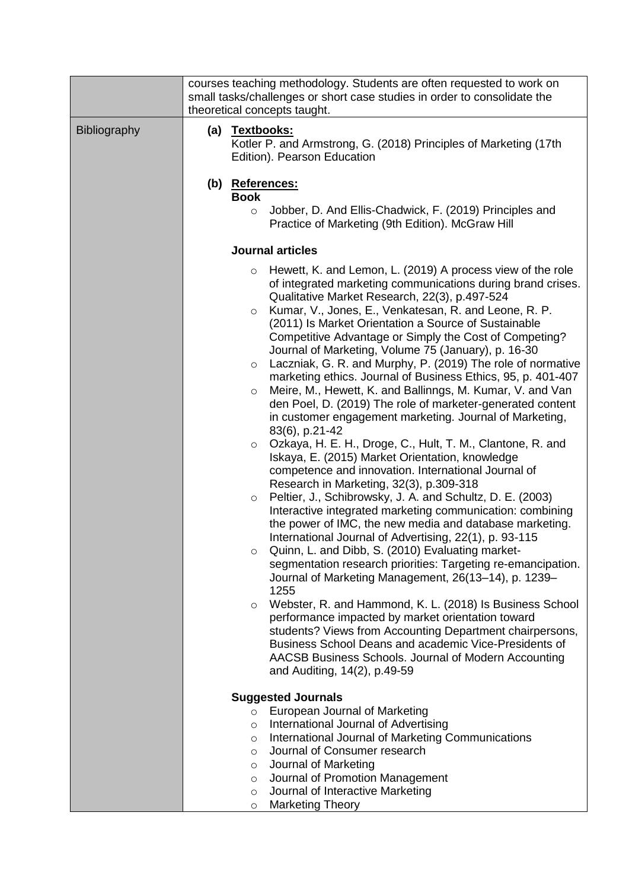|              | courses teaching methodology. Students are often requested to work on<br>small tasks/challenges or short case studies in order to consolidate the<br>theoretical concepts taught. |                                                                                                                                                                                                                                                                                                                                                                                                                                                                                                                                                                                                                                                                                                                                                                                                                                                                                                                                                                                                                                                                                                                                                                                                                                                                                                                                                                                                                                                                                                                                                               |  |  |  |  |
|--------------|-----------------------------------------------------------------------------------------------------------------------------------------------------------------------------------|---------------------------------------------------------------------------------------------------------------------------------------------------------------------------------------------------------------------------------------------------------------------------------------------------------------------------------------------------------------------------------------------------------------------------------------------------------------------------------------------------------------------------------------------------------------------------------------------------------------------------------------------------------------------------------------------------------------------------------------------------------------------------------------------------------------------------------------------------------------------------------------------------------------------------------------------------------------------------------------------------------------------------------------------------------------------------------------------------------------------------------------------------------------------------------------------------------------------------------------------------------------------------------------------------------------------------------------------------------------------------------------------------------------------------------------------------------------------------------------------------------------------------------------------------------------|--|--|--|--|
| Bibliography | (a)                                                                                                                                                                               | <u>Textbooks:</u><br>Kotler P. and Armstrong, G. (2018) Principles of Marketing (17th<br>Edition). Pearson Education                                                                                                                                                                                                                                                                                                                                                                                                                                                                                                                                                                                                                                                                                                                                                                                                                                                                                                                                                                                                                                                                                                                                                                                                                                                                                                                                                                                                                                          |  |  |  |  |
|              |                                                                                                                                                                                   | (b) References:<br><b>Book</b>                                                                                                                                                                                                                                                                                                                                                                                                                                                                                                                                                                                                                                                                                                                                                                                                                                                                                                                                                                                                                                                                                                                                                                                                                                                                                                                                                                                                                                                                                                                                |  |  |  |  |
|              |                                                                                                                                                                                   | Jobber, D. And Ellis-Chadwick, F. (2019) Principles and<br>$\circ$<br>Practice of Marketing (9th Edition). McGraw Hill                                                                                                                                                                                                                                                                                                                                                                                                                                                                                                                                                                                                                                                                                                                                                                                                                                                                                                                                                                                                                                                                                                                                                                                                                                                                                                                                                                                                                                        |  |  |  |  |
|              |                                                                                                                                                                                   | <b>Journal articles</b>                                                                                                                                                                                                                                                                                                                                                                                                                                                                                                                                                                                                                                                                                                                                                                                                                                                                                                                                                                                                                                                                                                                                                                                                                                                                                                                                                                                                                                                                                                                                       |  |  |  |  |
|              |                                                                                                                                                                                   | Hewett, K. and Lemon, L. (2019) A process view of the role<br>$\circ$<br>of integrated marketing communications during brand crises.<br>Qualitative Market Research, 22(3), p.497-524<br>Kumar, V., Jones, E., Venkatesan, R. and Leone, R. P.<br>$\circ$<br>(2011) Is Market Orientation a Source of Sustainable<br>Competitive Advantage or Simply the Cost of Competing?<br>Journal of Marketing, Volume 75 (January), p. 16-30<br>Laczniak, G. R. and Murphy, P. (2019) The role of normative<br>$\circ$<br>marketing ethics. Journal of Business Ethics, 95, p. 401-407<br>Meire, M., Hewett, K. and Ballinngs, M. Kumar, V. and Van<br>$\circ$<br>den Poel, D. (2019) The role of marketer-generated content<br>in customer engagement marketing. Journal of Marketing,<br>83(6), p.21-42<br>Ozkaya, H. E. H., Droge, C., Hult, T. M., Clantone, R. and<br>$\circ$<br>Iskaya, E. (2015) Market Orientation, knowledge<br>competence and innovation. International Journal of<br>Research in Marketing, 32(3), p.309-318<br>Peltier, J., Schibrowsky, J. A. and Schultz, D. E. (2003)<br>$\circ$<br>Interactive integrated marketing communication: combining<br>the power of IMC, the new media and database marketing.<br>International Journal of Advertising, 22(1), p. 93-115<br>Quinn, L. and Dibb, S. (2010) Evaluating market-<br>$\circ$<br>segmentation research priorities: Targeting re-emancipation.<br>Journal of Marketing Management, 26(13-14), p. 1239-<br>1255<br>Webster, R. and Hammond, K. L. (2018) Is Business School<br>$\circ$ |  |  |  |  |
|              |                                                                                                                                                                                   | performance impacted by market orientation toward<br>students? Views from Accounting Department chairpersons,<br>Business School Deans and academic Vice-Presidents of<br>AACSB Business Schools. Journal of Modern Accounting                                                                                                                                                                                                                                                                                                                                                                                                                                                                                                                                                                                                                                                                                                                                                                                                                                                                                                                                                                                                                                                                                                                                                                                                                                                                                                                                |  |  |  |  |
|              |                                                                                                                                                                                   | and Auditing, 14(2), p.49-59                                                                                                                                                                                                                                                                                                                                                                                                                                                                                                                                                                                                                                                                                                                                                                                                                                                                                                                                                                                                                                                                                                                                                                                                                                                                                                                                                                                                                                                                                                                                  |  |  |  |  |
|              |                                                                                                                                                                                   | <b>Suggested Journals</b>                                                                                                                                                                                                                                                                                                                                                                                                                                                                                                                                                                                                                                                                                                                                                                                                                                                                                                                                                                                                                                                                                                                                                                                                                                                                                                                                                                                                                                                                                                                                     |  |  |  |  |
|              |                                                                                                                                                                                   | European Journal of Marketing<br>$\circ$                                                                                                                                                                                                                                                                                                                                                                                                                                                                                                                                                                                                                                                                                                                                                                                                                                                                                                                                                                                                                                                                                                                                                                                                                                                                                                                                                                                                                                                                                                                      |  |  |  |  |
|              |                                                                                                                                                                                   | International Journal of Advertising<br>$\circ$<br>International Journal of Marketing Communications<br>$\circ$                                                                                                                                                                                                                                                                                                                                                                                                                                                                                                                                                                                                                                                                                                                                                                                                                                                                                                                                                                                                                                                                                                                                                                                                                                                                                                                                                                                                                                               |  |  |  |  |
|              |                                                                                                                                                                                   | Journal of Consumer research<br>$\circ$                                                                                                                                                                                                                                                                                                                                                                                                                                                                                                                                                                                                                                                                                                                                                                                                                                                                                                                                                                                                                                                                                                                                                                                                                                                                                                                                                                                                                                                                                                                       |  |  |  |  |
|              |                                                                                                                                                                                   | Journal of Marketing<br>$\circ$                                                                                                                                                                                                                                                                                                                                                                                                                                                                                                                                                                                                                                                                                                                                                                                                                                                                                                                                                                                                                                                                                                                                                                                                                                                                                                                                                                                                                                                                                                                               |  |  |  |  |
|              |                                                                                                                                                                                   | Journal of Promotion Management<br>$\circ$                                                                                                                                                                                                                                                                                                                                                                                                                                                                                                                                                                                                                                                                                                                                                                                                                                                                                                                                                                                                                                                                                                                                                                                                                                                                                                                                                                                                                                                                                                                    |  |  |  |  |
|              |                                                                                                                                                                                   | Journal of Interactive Marketing<br>$\circ$                                                                                                                                                                                                                                                                                                                                                                                                                                                                                                                                                                                                                                                                                                                                                                                                                                                                                                                                                                                                                                                                                                                                                                                                                                                                                                                                                                                                                                                                                                                   |  |  |  |  |
|              |                                                                                                                                                                                   | <b>Marketing Theory</b><br>$\circ$                                                                                                                                                                                                                                                                                                                                                                                                                                                                                                                                                                                                                                                                                                                                                                                                                                                                                                                                                                                                                                                                                                                                                                                                                                                                                                                                                                                                                                                                                                                            |  |  |  |  |